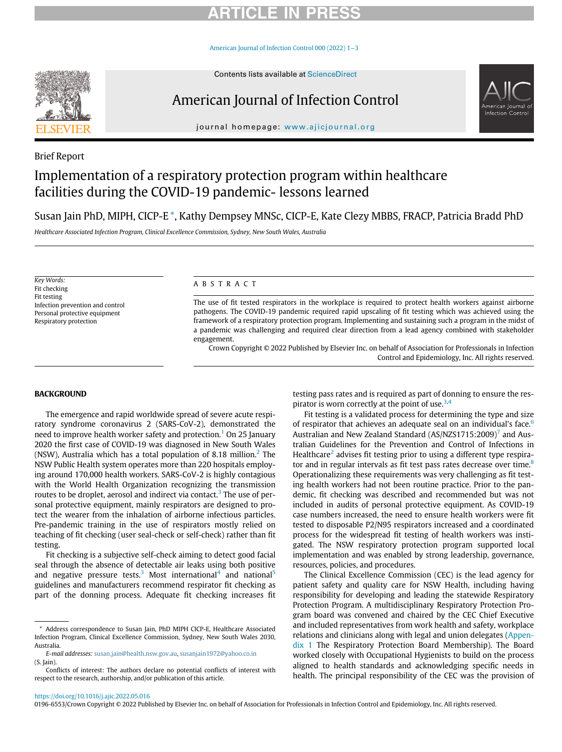# **RTICLE IN PR**

[American Journal of Infection Control 000 \(2022\) 1](https://doi.org/10.1016/j.ajic.2022.05.016)−3



Brief Report

# American Journal of Infection Control



journal homepage: [www.ajicjournal.org](http://www.ajicjournal.org)

# Implementation of a respiratory protection program within healthcare facilities during the COVID-19 pandemic- lessons learned

# Susan Jain PhD, MIPH, CICP-E [\\*,](#page-0-0) Kathy Dempsey MNSc, CICP-E, Kate Clezy MBBS, FRACP, Patricia Bradd PhD

Healthcare Associated Infection Program, Clinical Excellence Commission, Sydney, New South Wales, Australia

Key Words: Fit checking Fit testing Infection prevention and control Personal protective equipment Respiratory protection

# ABSTRACT

The use of fit tested respirators in the workplace is required to protect health workers against airborne pathogens. The COVID-19 pandemic required rapid upscaling of fit testing which was achieved using the framework of a respiratory protection program. Implementing and sustaining such a program in the midst of a pandemic was challenging and required clear direction from a lead agency combined with stakeholder engagement.

Crown Copyright © 2022 Published by Elsevier Inc. on behalf of Association for Professionals in Infection Control and Epidemiology, Inc. All rights reserved.

### BACKGROUND

The emergence and rapid worldwide spread of severe acute respiratory syndrome coronavirus 2 (SARS-CoV-2), demonstrated the need to improve health worker safety and protection.<sup>[1](#page-2-0)</sup> On 25 January 2020 the first case of COVID-19 was diagnosed in New South Wales (NSW), Australia which has a total population of 8.18 million.<sup>[2](#page-2-1)</sup> The NSW Public Health system operates more than 220 hospitals employing around 170,000 health workers. SARS-CoV-2 is highly contagious with the World Health Organization recognizing the transmission routes to be droplet, aerosol and indirect via contact.<sup>[3](#page-2-2)</sup> The use of personal protective equipment, mainly respirators are designed to protect the wearer from the inhalation of airborne infectious particles. Pre-pandemic training in the use of respirators mostly relied on teaching of fit checking (user seal-check or self-check) rather than fit testing.

Fit checking is a subjective self-check aiming to detect good facial seal through the absence of detectable air leaks using both positive and negative pressure tests.<sup>[3](#page-2-2)</sup> Most international<sup>[4](#page-2-3)</sup> and national<sup>5</sup> guidelines and manufacturers recommend respirator fit checking as part of the donning process. Adequate fit checking increases fit testing pass rates and is required as part of donning to ensure the respirator is worn correctly at the point of use. $3,4$  $3,4$  $3,4$ 

Fit testing is a validated process for determining the type and size of respirator that achieves an adequate seal on an individual's face.<sup>6</sup> Australian and New Zealand Standard (AS/NZS1[7](#page-2-6)15:2009)<sup>7</sup> and Australian Guidelines for the Prevention and Control of Infections in Healthcare<sup>[2](#page-2-1)</sup> advises fit testing prior to using a different type respirator and in regular intervals as fit test pass rates decrease over time.<sup>8</sup> Operationalizing these requirements was very challenging as fit testing health workers had not been routine practice. Prior to the pandemic, fit checking was described and recommended but was not included in audits of personal protective equipment. As COVID-19 case numbers increased, the need to ensure health workers were fit tested to disposable P2/N95 respirators increased and a coordinated process for the widespread fit testing of health workers was instigated. The NSW respiratory protection program supported local implementation and was enabled by strong leadership, governance, resources, policies, and procedures.

The Clinical Excellence Commission (CEC) is the lead agency for patient safety and quality care for NSW Health, including having responsibility for developing and leading the statewide Respiratory Protection Program. A multidisciplinary Respiratory Protection Program board was convened and chaired by the CEC Chief Executive and included representatives from work health and safety, workplace relations and clinicians along with legal and union delegates [\(Appen](#page-2-8)[dix 1](#page-2-8) The Respiratory Protection Board Membership). The Board worked closely with Occupational Hygienists to build on the process aligned to health standards and acknowledging specific needs in health. The principal responsibility of the CEC was the provision of

#### <https://doi.org/10.1016/j.ajic.2022.05.016>

0196-6553/Crown Copyright © 2022 Published by Elsevier Inc. on behalf of Association for Professionals in Infection Control and Epidemiology, Inc. All rights reserved.

<span id="page-0-0"></span>Address correspondence to Susan Jain, PhD MIPH CICP-E, Healthcare Associated Infection Program, Clinical Excellence Commission, Sydney, New South Wales 2030, Australia.

E-mail addresses: [susan.jain@health.nsw.gov.au](mailto:susan.jain@health.nsw.gov.au), [susanjain1972@yahoo.co.in](mailto:susanjain1972@yahoo.co.in) (S. Jain).

Conflicts of interest: The authors declare no potential conflicts of interest with respect to the research, authorship, and/or publication of this article.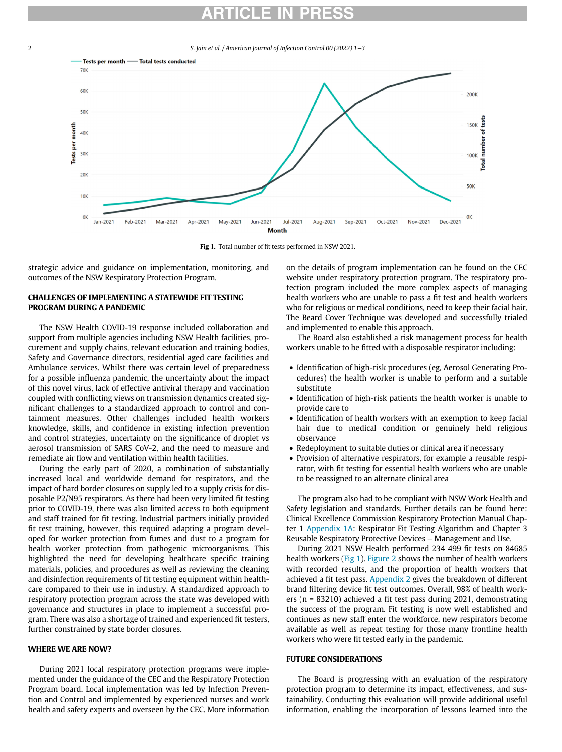# **RTICLE IN**

<span id="page-1-0"></span>2 S. Jain et al. / American Journal of Infection Control 00 (2022) 1−3



Fig 1. Total number of fit tests performed in NSW 2021.

strategic advice and guidance on implementation, monitoring, and outcomes of the NSW Respiratory Protection Program.

# CHALLENGES OF IMPLEMENTING A STATEWIDE FIT TESTING PROGRAM DURING A PANDEMIC

The NSW Health COVID-19 response included collaboration and support from multiple agencies including NSW Health facilities, procurement and supply chains, relevant education and training bodies, Safety and Governance directors, residential aged care facilities and Ambulance services. Whilst there was certain level of preparedness for a possible influenza pandemic, the uncertainty about the impact of this novel virus, lack of effective antiviral therapy and vaccination coupled with conflicting views on transmission dynamics created significant challenges to a standardized approach to control and containment measures. Other challenges included health workers knowledge, skills, and confidence in existing infection prevention and control strategies, uncertainty on the significance of droplet vs aerosol transmission of SARS CoV-2, and the need to measure and remediate air flow and ventilation within health facilities.

During the early part of 2020, a combination of substantially increased local and worldwide demand for respirators, and the impact of hard border closures on supply led to a supply crisis for disposable P2/N95 respirators. As there had been very limited fit testing prior to COVID-19, there was also limited access to both equipment and staff trained for fit testing. Industrial partners initially provided fit test training, however, this required adapting a program developed for worker protection from fumes and dust to a program for health worker protection from pathogenic microorganisms. This highlighted the need for developing healthcare specific training materials, policies, and procedures as well as reviewing the cleaning and disinfection requirements of fit testing equipment within healthcare compared to their use in industry. A standardized approach to respiratory protection program across the state was developed with governance and structures in place to implement a successful program. There was also a shortage of trained and experienced fit testers, further constrained by state border closures.

# WHERE WE ARE NOW?

During 2021 local respiratory protection programs were implemented under the guidance of the CEC and the Respiratory Protection Program board. Local implementation was led by Infection Prevention and Control and implemented by experienced nurses and work health and safety experts and overseen by the CEC. More information

on the details of program implementation can be found on the CEC website under respiratory protection program. The respiratory protection program included the more complex aspects of managing health workers who are unable to pass a fit test and health workers who for religious or medical conditions, need to keep their facial hair. The Beard Cover Technique was developed and successfully trialed and implemented to enable this approach.

The Board also established a risk management process for health workers unable to be fitted with a disposable respirator including:

- Identification of high-risk procedures (eg, Aerosol Generating Procedures) the health worker is unable to perform and a suitable substitute
- Identification of high-risk patients the health worker is unable to provide care to
- Identification of health workers with an exemption to keep facial hair due to medical condition or genuinely held religious observance
- Redeployment to suitable duties or clinical area if necessary<br>• Provision of alternative respirators, for example a reusable
- Provision of alternative respirators, for example a reusable respirator, with fit testing for essential health workers who are unable to be reassigned to an alternate clinical area

The program also had to be compliant with NSW Work Health and Safety legislation and standards. Further details can be found here: Clinical Excellence Commission Respiratory Protection Manual Chapter 1 [Appendix 1A](#page-2-8): Respirator Fit Testing Algorithm and Chapter 3 Reusable Respiratory Protective Devices – Management and Use.

During 2021 NSW Health performed 234 499 fit tests on 84685 health workers [\(Fig 1\)](#page-1-0). [Figure 2](#page-2-9) shows the number of health workers with recorded results, and the proportion of health workers that achieved a fit test pass. [Appendix 2](#page-2-8) gives the breakdown of different brand filtering device fit test outcomes. Overall, 98% of health workers (n = 83210) achieved a fit test pass during 2021, demonstrating the success of the program. Fit testing is now well established and continues as new staff enter the workforce, new respirators become available as well as repeat testing for those many frontline health workers who were fit tested early in the pandemic.

### FUTURE CONSIDERATIONS

The Board is progressing with an evaluation of the respiratory protection program to determine its impact, effectiveness, and sustainability. Conducting this evaluation will provide additional useful information, enabling the incorporation of lessons learned into the